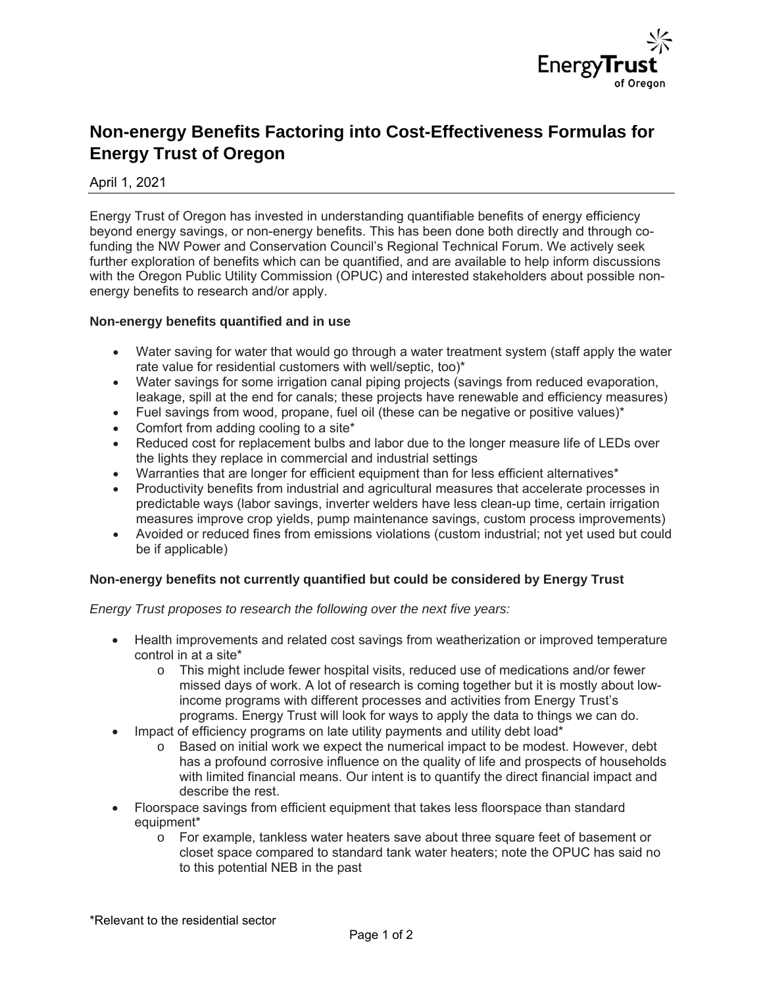

# **Non-energy Benefits Factoring into Cost-Effectiveness Formulas for Energy Trust of Oregon**

April 1, 2021

Energy Trust of Oregon has invested in understanding quantifiable benefits of energy efficiency beyond energy savings, or non-energy benefits. This has been done both directly and through cofunding the NW Power and Conservation Council's Regional Technical Forum. We actively seek further exploration of benefits which can be quantified, and are available to help inform discussions with the Oregon Public Utility Commission (OPUC) and interested stakeholders about possible nonenergy benefits to research and/or apply.

# **Non-energy benefits quantified and in use**

- Water saving for water that would go through a water treatment system (staff apply the water rate value for residential customers with well/septic, too)\*
- Water savings for some irrigation canal piping projects (savings from reduced evaporation, leakage, spill at the end for canals; these projects have renewable and efficiency measures)
- Fuel savings from wood, propane, fuel oil (these can be negative or positive values)\*
- Comfort from adding cooling to a site\*
- Reduced cost for replacement bulbs and labor due to the longer measure life of LEDs over the lights they replace in commercial and industrial settings
- Warranties that are longer for efficient equipment than for less efficient alternatives<sup>\*</sup>
- Productivity benefits from industrial and agricultural measures that accelerate processes in predictable ways (labor savings, inverter welders have less clean-up time, certain irrigation measures improve crop yields, pump maintenance savings, custom process improvements)
- Avoided or reduced fines from emissions violations (custom industrial; not yet used but could be if applicable)

# **Non-energy benefits not currently quantified but could be considered by Energy Trust**

*Energy Trust proposes to research the following over the next five years:*

- Health improvements and related cost savings from weatherization or improved temperature control in at a site\*
	- $\circ$  This might include fewer hospital visits, reduced use of medications and/or fewer missed days of work. A lot of research is coming together but it is mostly about lowincome programs with different processes and activities from Energy Trust's programs. Energy Trust will look for ways to apply the data to things we can do.
- Impact of efficiency programs on late utility payments and utility debt load\*
	- $\circ$  Based on initial work we expect the numerical impact to be modest. However, debt has a profound corrosive influence on the quality of life and prospects of households with limited financial means. Our intent is to quantify the direct financial impact and describe the rest.
- Floorspace savings from efficient equipment that takes less floorspace than standard equipment\*
	- o For example, tankless water heaters save about three square feet of basement or closet space compared to standard tank water heaters; note the OPUC has said no to this potential NEB in the past